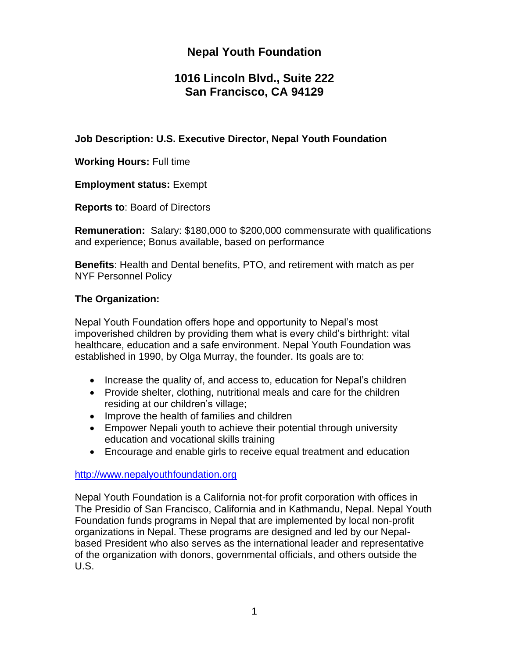# **Nepal Youth Foundation**

## **1016 Lincoln Blvd., Suite 222 San Francisco, CA 94129**

#### **Job Description: U.S. Executive Director, Nepal Youth Foundation**

**Working Hours:** Full time

**Employment status:** Exempt

**Reports to**: Board of Directors

**Remuneration:** Salary: \$180,000 to \$200,000 commensurate with qualifications and experience; Bonus available, based on performance

**Benefits**: Health and Dental benefits, PTO, and retirement with match as per NYF Personnel Policy

## **The Organization:**

Nepal Youth Foundation offers hope and opportunity to Nepal's most impoverished children by providing them what is every child's birthright: vital healthcare, education and a safe environment. Nepal Youth Foundation was established in 1990, by Olga Murray, the founder. Its goals are to:

- Increase the quality of, and access to, education for Nepal's children
- Provide shelter, clothing, nutritional meals and care for the children residing at our children's village;
- Improve the health of families and children
- Empower Nepali youth to achieve their potential through university education and vocational skills training
- Encourage and enable girls to receive equal treatment and education

#### [http://www.nepalyouthfoundation.org](http://www.nepalyouthfoundation.org/)

Nepal Youth Foundation is a California not-for profit corporation with offices in The Presidio of San Francisco, California and in Kathmandu, Nepal. Nepal Youth Foundation funds programs in Nepal that are implemented by local non-profit organizations in Nepal. These programs are designed and led by our Nepalbased President who also serves as the international leader and representative of the organization with donors, governmental officials, and others outside the U.S.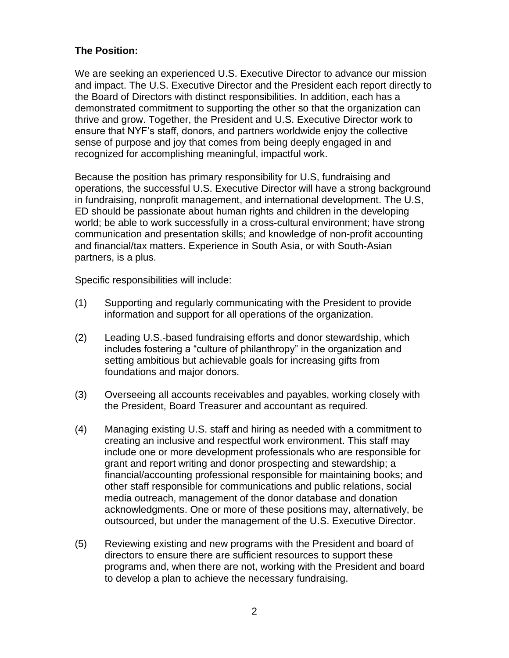## **The Position:**

We are seeking an experienced U.S. Executive Director to advance our mission and impact. The U.S. Executive Director and the President each report directly to the Board of Directors with distinct responsibilities. In addition, each has a demonstrated commitment to supporting the other so that the organization can thrive and grow. Together, the President and U.S. Executive Director work to ensure that NYF's staff, donors, and partners worldwide enjoy the collective sense of purpose and joy that comes from being deeply engaged in and recognized for accomplishing meaningful, impactful work.

Because the position has primary responsibility for U.S, fundraising and operations, the successful U.S. Executive Director will have a strong background in fundraising, nonprofit management, and international development. The U.S, ED should be passionate about human rights and children in the developing world; be able to work successfully in a cross-cultural environment; have strong communication and presentation skills; and knowledge of non-profit accounting and financial/tax matters. Experience in South Asia, or with South-Asian partners, is a plus.

Specific responsibilities will include:

- (1) Supporting and regularly communicating with the President to provide information and support for all operations of the organization.
- (2) Leading U.S.-based fundraising efforts and donor stewardship, which includes fostering a "culture of philanthropy" in the organization and setting ambitious but achievable goals for increasing gifts from foundations and major donors.
- (3) Overseeing all accounts receivables and payables, working closely with the President, Board Treasurer and accountant as required.
- (4) Managing existing U.S. staff and hiring as needed with a commitment to creating an inclusive and respectful work environment. This staff may include one or more development professionals who are responsible for grant and report writing and donor prospecting and stewardship; a financial/accounting professional responsible for maintaining books; and other staff responsible for communications and public relations, social media outreach, management of the donor database and donation acknowledgments. One or more of these positions may, alternatively, be outsourced, but under the management of the U.S. Executive Director.
- (5) Reviewing existing and new programs with the President and board of directors to ensure there are sufficient resources to support these programs and, when there are not, working with the President and board to develop a plan to achieve the necessary fundraising.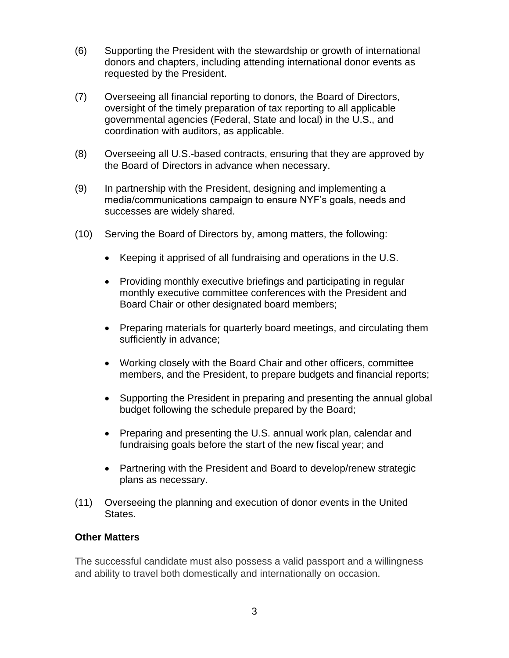- (6) Supporting the President with the stewardship or growth of international donors and chapters, including attending international donor events as requested by the President.
- (7) Overseeing all financial reporting to donors, the Board of Directors, oversight of the timely preparation of tax reporting to all applicable governmental agencies (Federal, State and local) in the U.S., and coordination with auditors, as applicable.
- (8) Overseeing all U.S.-based contracts, ensuring that they are approved by the Board of Directors in advance when necessary.
- (9) In partnership with the President, designing and implementing a media/communications campaign to ensure NYF's goals, needs and successes are widely shared.
- (10) Serving the Board of Directors by, among matters, the following:
	- Keeping it apprised of all fundraising and operations in the U.S.
	- Providing monthly executive briefings and participating in regular monthly executive committee conferences with the President and Board Chair or other designated board members;
	- Preparing materials for quarterly board meetings, and circulating them sufficiently in advance;
	- Working closely with the Board Chair and other officers, committee members, and the President, to prepare budgets and financial reports;
	- Supporting the President in preparing and presenting the annual global budget following the schedule prepared by the Board;
	- Preparing and presenting the U.S. annual work plan, calendar and fundraising goals before the start of the new fiscal year; and
	- Partnering with the President and Board to develop/renew strategic plans as necessary.
- (11) Overseeing the planning and execution of donor events in the United States.

#### **Other Matters**

The successful candidate must also possess a valid passport and a willingness and ability to travel both domestically and internationally on occasion.